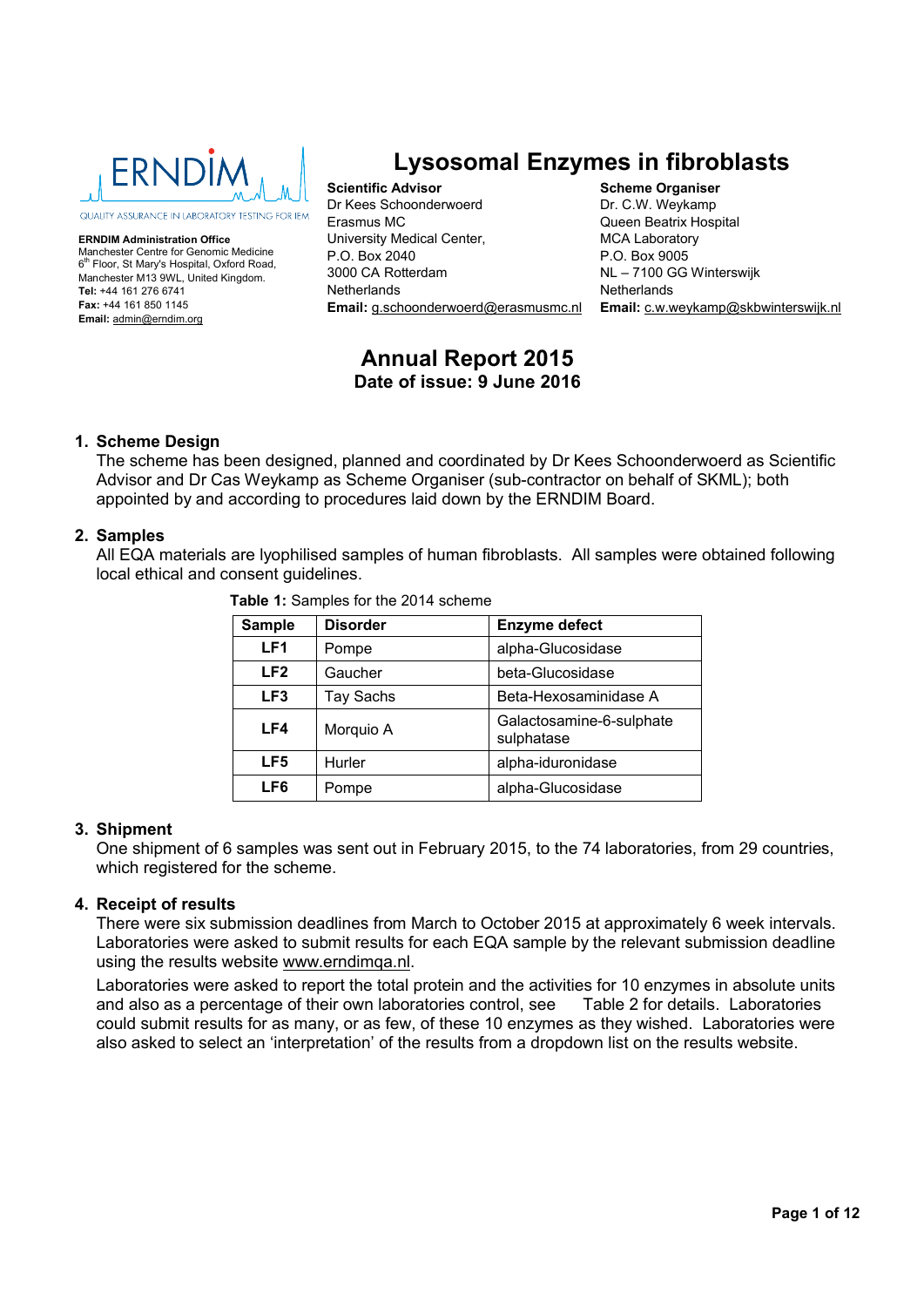

**ERNDIM Administration Office** Manchester Centre for Genomic Medicine 6<sup>th</sup> Floor, St Mary's Hospital, Oxford Road, Manchester M13 9WL, United Kingdom. **Tel:** +44 161 276 6741 **Fax:** +44 161 850 1145 **Email:** admin@erndim.org

# **Lysosomal Enzymes in fibroblasts**

**Scientific Advisor** Dr Kees Schoonderwoerd Erasmus MC University Medical Center, P.O. Box 2040 3000 CA Rotterdam Netherlands **Email:** g.schoonderwoerd@erasmusmc.nl

**Scheme Organiser** Dr. C.W. Weykamp Queen Beatrix Hospital MCA Laboratory P.O. Box 9005 NL – 7100 GG Winterswijk **Netherlands Email:** c.w.weykamp@skbwinterswijk.nl

## **Annual Report 2015 Date of issue: 9 June 2016**

## **1. Scheme Design**

The scheme has been designed, planned and coordinated by Dr Kees Schoonderwoerd as Scientific Advisor and Dr Cas Weykamp as Scheme Organiser (sub-contractor on behalf of SKML); both appointed by and according to procedures laid down by the ERNDIM Board.

## **2. Samples**

All EQA materials are lyophilised samples of human fibroblasts. All samples were obtained following local ethical and consent guidelines.

| <b>Sample</b>   | <b>Disorder</b> | <b>Enzyme defect</b>                   |
|-----------------|-----------------|----------------------------------------|
| LF <sub>1</sub> | Pompe           | alpha-Glucosidase                      |
| LF <sub>2</sub> | Gaucher         | beta-Glucosidase                       |
| LF <sub>3</sub> | Tay Sachs       | Beta-Hexosaminidase A                  |
| LF4             | Morquio A       | Galactosamine-6-sulphate<br>sulphatase |
| LF <sub>5</sub> | Hurler          | alpha-iduronidase                      |
| LF6             | Pompe           | alpha-Glucosidase                      |

 **Table 1:** Samples for the 2014 scheme

## **3. Shipment**

One shipment of 6 samples was sent out in February 2015, to the 74 laboratories, from 29 countries, which registered for the scheme.

## **4. Receipt of results**

There were six submission deadlines from March to October 2015 at approximately 6 week intervals. Laboratories were asked to submit results for each EQA sample by the relevant submission deadline using the results website www.erndimqa.nl.

Laboratories were asked to report the total protein and the activities for 10 enzymes in absolute units and also as a percentage of their own laboratories control, see Table 2 for details. Laboratories could submit results for as many, or as few, of these 10 enzymes as they wished. Laboratories were also asked to select an 'interpretation' of the results from a dropdown list on the results website.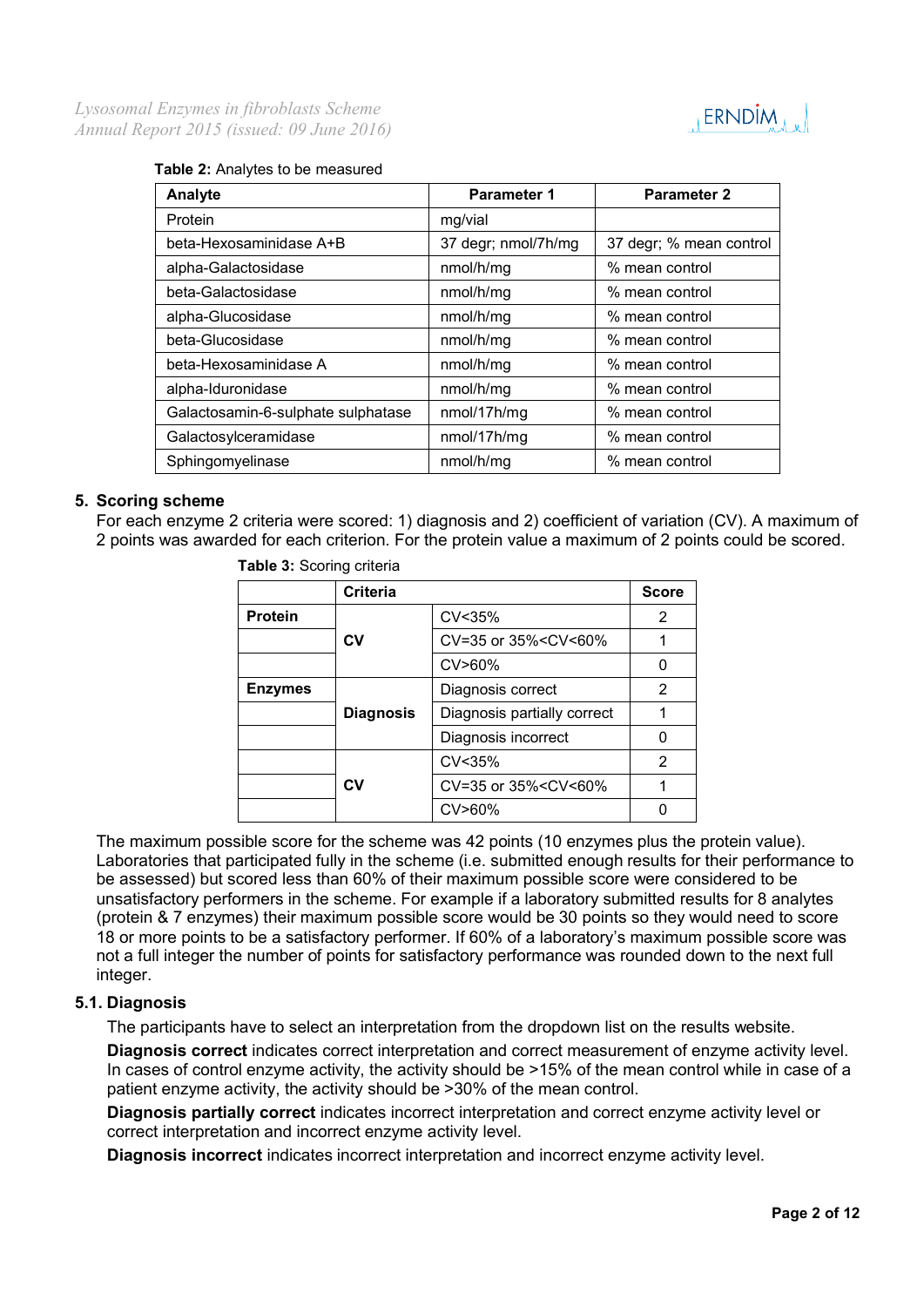

### **Table 2:** Analytes to be measured

| Analyte                            | <b>Parameter 1</b>  | <b>Parameter 2</b>      |
|------------------------------------|---------------------|-------------------------|
| Protein                            | mg/vial             |                         |
| beta-Hexosaminidase A+B            | 37 degr; nmol/7h/mg | 37 degr; % mean control |
| alpha-Galactosidase                | nmol/h/mg           | % mean control          |
| beta-Galactosidase                 | nmol/h/mg           | % mean control          |
| alpha-Glucosidase                  | nmol/h/mg           | % mean control          |
| beta-Glucosidase                   | nmol/h/mg           | % mean control          |
| beta-Hexosaminidase A              | nmol/h/mg           | % mean control          |
| alpha-Iduronidase                  | nmol/h/mg           | % mean control          |
| Galactosamin-6-sulphate sulphatase | nmol/17h/mg         | % mean control          |
| Galactosylceramidase               | nmol/17h/mg         | % mean control          |
| Sphingomyelinase                   | nmol/h/mg           | % mean control          |

## **5. Scoring scheme**

For each enzyme 2 criteria were scored: 1) diagnosis and 2) coefficient of variation (CV). A maximum of 2 points was awarded for each criterion. For the protein value a maximum of 2 points could be scored.

|                | <b>Criteria</b>  |                                                 | <b>Score</b> |
|----------------|------------------|-------------------------------------------------|--------------|
| <b>Protein</b> |                  | CV <sub>35%</sub>                               | 2            |
|                | CV               | CV=35 or 35% <cv<60%< th=""><th></th></cv<60%<> |              |
|                |                  | $CV>60\%$                                       |              |
| <b>Enzymes</b> |                  | Diagnosis correct                               | 2            |
|                | <b>Diagnosis</b> | Diagnosis partially correct                     |              |
|                |                  | Diagnosis incorrect                             |              |
|                |                  | CV <sub>35%</sub>                               | 2            |
|                | CV               | CV=35 or 35% <cv<60%< td=""><td></td></cv<60%<> |              |
|                |                  | CV>60%                                          |              |

**Table 3:** Scoring criteria

The maximum possible score for the scheme was 42 points (10 enzymes plus the protein value). Laboratories that participated fully in the scheme (i.e. submitted enough results for their performance to be assessed) but scored less than 60% of their maximum possible score were considered to be unsatisfactory performers in the scheme. For example if a laboratory submitted results for 8 analytes (protein & 7 enzymes) their maximum possible score would be 30 points so they would need to score 18 or more points to be a satisfactory performer. If 60% of a laboratory's maximum possible score was not a full integer the number of points for satisfactory performance was rounded down to the next full integer.

## **5.1. Diagnosis**

The participants have to select an interpretation from the dropdown list on the results website.

**Diagnosis correct** indicates correct interpretation and correct measurement of enzyme activity level. In cases of control enzyme activity, the activity should be >15% of the mean control while in case of a patient enzyme activity, the activity should be >30% of the mean control.

**Diagnosis partially correct** indicates incorrect interpretation and correct enzyme activity level or correct interpretation and incorrect enzyme activity level.

**Diagnosis incorrect** indicates incorrect interpretation and incorrect enzyme activity level.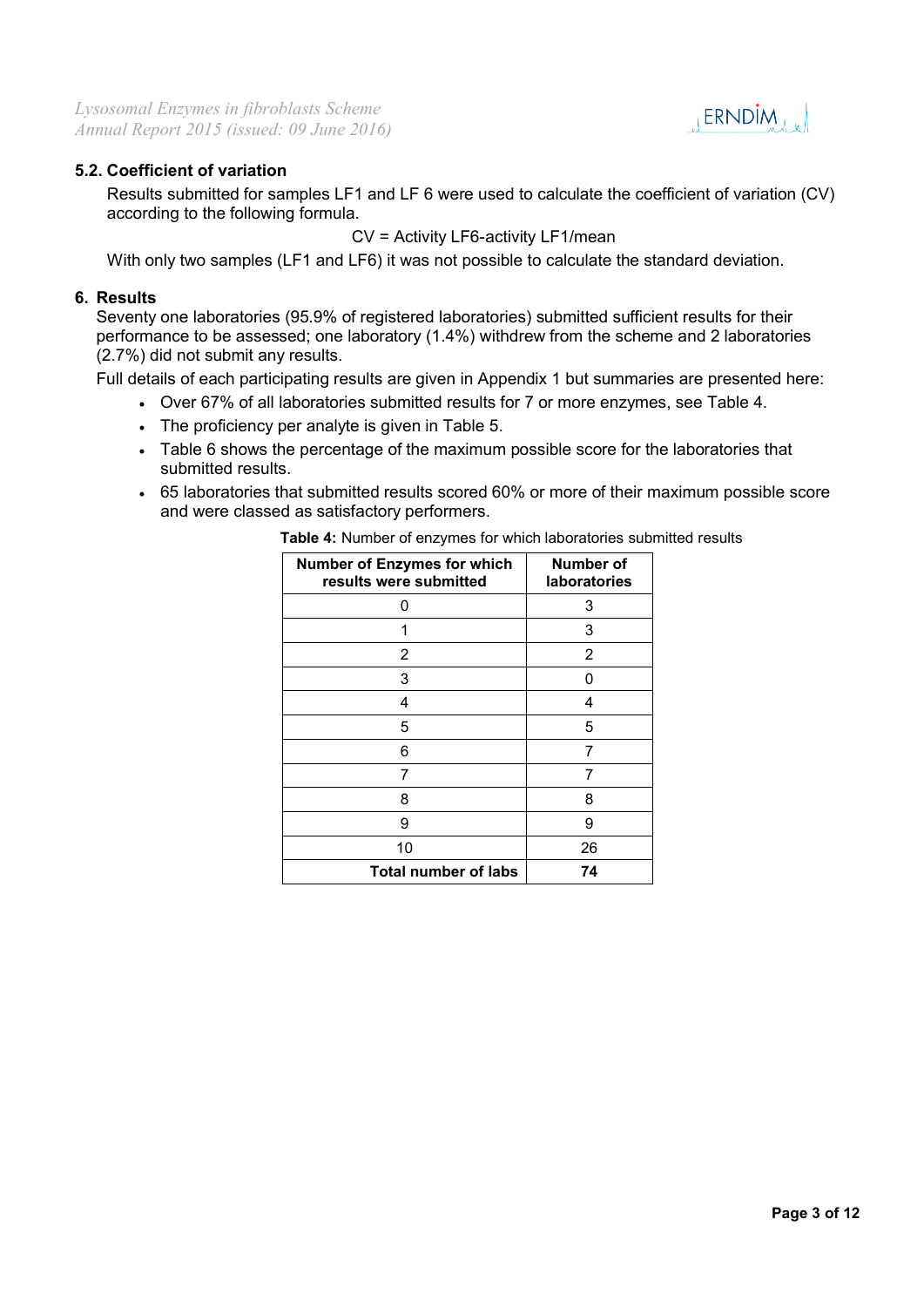

## **5.2. Coefficient of variation**

Results submitted for samples LF1 and LF 6 were used to calculate the coefficient of variation (CV) according to the following formula.

CV = Activity LF6-activity LF1/mean

With only two samples (LF1 and LF6) it was not possible to calculate the standard deviation.

## **6. Results**

Seventy one laboratories (95.9% of registered laboratories) submitted sufficient results for their performance to be assessed; one laboratory (1.4%) withdrew from the scheme and 2 laboratories (2.7%) did not submit any results.

Full details of each participating results are given in Appendix 1 but summaries are presented here:

- Over 67% of all laboratories submitted results for 7 or more enzymes, see Table 4.
- The proficiency per analyte is given in Table 5.
- Table 6 shows the percentage of the maximum possible score for the laboratories that submitted results.
- 65 laboratories that submitted results scored 60% or more of their maximum possible score and were classed as satisfactory performers.

| <b>Number of Enzymes for which</b><br>results were submitted | <b>Number of</b><br>laboratories |  |  |  |  |
|--------------------------------------------------------------|----------------------------------|--|--|--|--|
|                                                              | 3                                |  |  |  |  |
|                                                              | 3                                |  |  |  |  |
| 2                                                            | 2                                |  |  |  |  |
| 3                                                            | n                                |  |  |  |  |
| 4                                                            | 4                                |  |  |  |  |
| 5                                                            | 5                                |  |  |  |  |
| 6                                                            | 7                                |  |  |  |  |
| 7                                                            | 7                                |  |  |  |  |
| 8                                                            | 8                                |  |  |  |  |
| 9                                                            | 9                                |  |  |  |  |
| 10                                                           | 26                               |  |  |  |  |
| <b>Total number of labs</b>                                  | 74                               |  |  |  |  |

 **Table 4:** Number of enzymes for which laboratories submitted results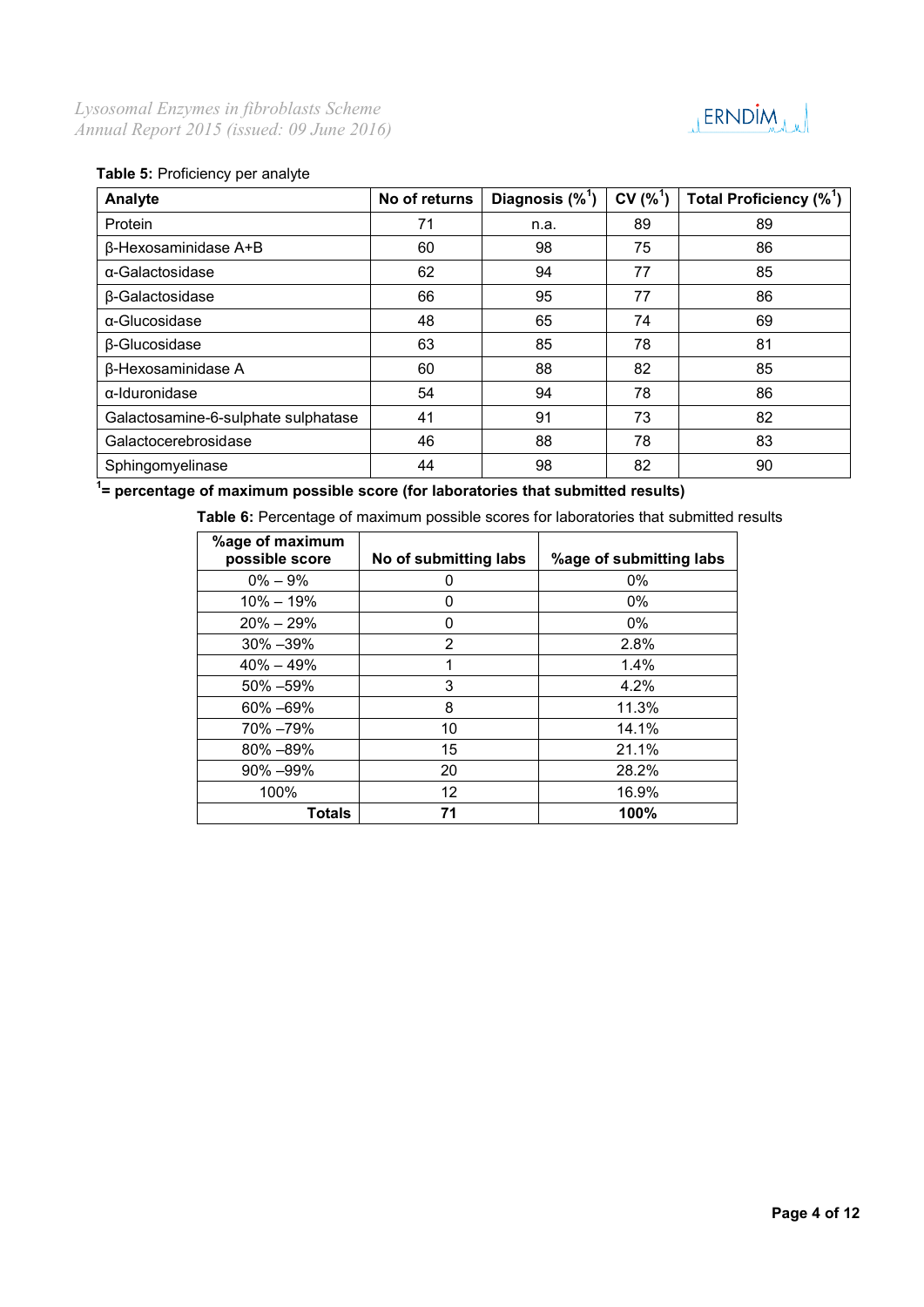

## **Table 5:** Proficiency per analyte

| Analyte                             | No of returns | Diagnosis $(\%^{\mathsf{T}})$ | $CV(%^{1})$ | Total Proficiency (% <sup>1</sup> ) |
|-------------------------------------|---------------|-------------------------------|-------------|-------------------------------------|
| Protein                             | 71            | n.a.                          | 89          | 89                                  |
| β-Hexosaminidase A+B                | 60            | 98                            | 75          | 86                                  |
| α-Galactosidase                     | 62            | 94                            | 77          | 85                                  |
| β-Galactosidase                     | 66            | 95                            | 77          | 86                                  |
| α-Glucosidase                       | 48            | 65                            | 74          | 69                                  |
| β-Glucosidase                       | 63            | 85                            | 78          | 81                                  |
| β-Hexosaminidase A                  | 60            | 88                            | 82          | 85                                  |
| $\alpha$ -Iduronidase               | 54            | 94                            | 78          | 86                                  |
| Galactosamine-6-sulphate sulphatase | 41            | 91                            | 73          | 82                                  |
| Galactocerebrosidase                | 46            | 88                            | 78          | 83                                  |
| Sphingomyelinase                    | 44            | 98                            | 82          | 90                                  |

**1 = percentage of maximum possible score (for laboratories that submitted results)**

 **Table 6:** Percentage of maximum possible scores for laboratories that submitted results

| %age of maximum<br>possible score | No of submitting labs | %age of submitting labs |  |  |  |
|-----------------------------------|-----------------------|-------------------------|--|--|--|
| $0\% - 9\%$                       | O                     | $0\%$                   |  |  |  |
| $10\% - 19\%$                     |                       | $0\%$                   |  |  |  |
| $20\% - 29\%$                     | O                     | $0\%$                   |  |  |  |
| $30\% - 39\%$                     | 2                     | 2.8%                    |  |  |  |
| $40\% - 49\%$                     | 1                     | 1.4%                    |  |  |  |
| 50% - 59%                         | 3                     | 4.2%                    |  |  |  |
| 60% -69%                          | 8                     | 11.3%                   |  |  |  |
| 70% -79%                          | 10                    | 14.1%                   |  |  |  |
| 80% -89%                          | 15                    | 21.1%                   |  |  |  |
| $90\% - 99\%$                     | 20                    | 28.2%                   |  |  |  |
| 100%                              | 12                    | 16.9%                   |  |  |  |
| Totals                            | 71                    | 100%                    |  |  |  |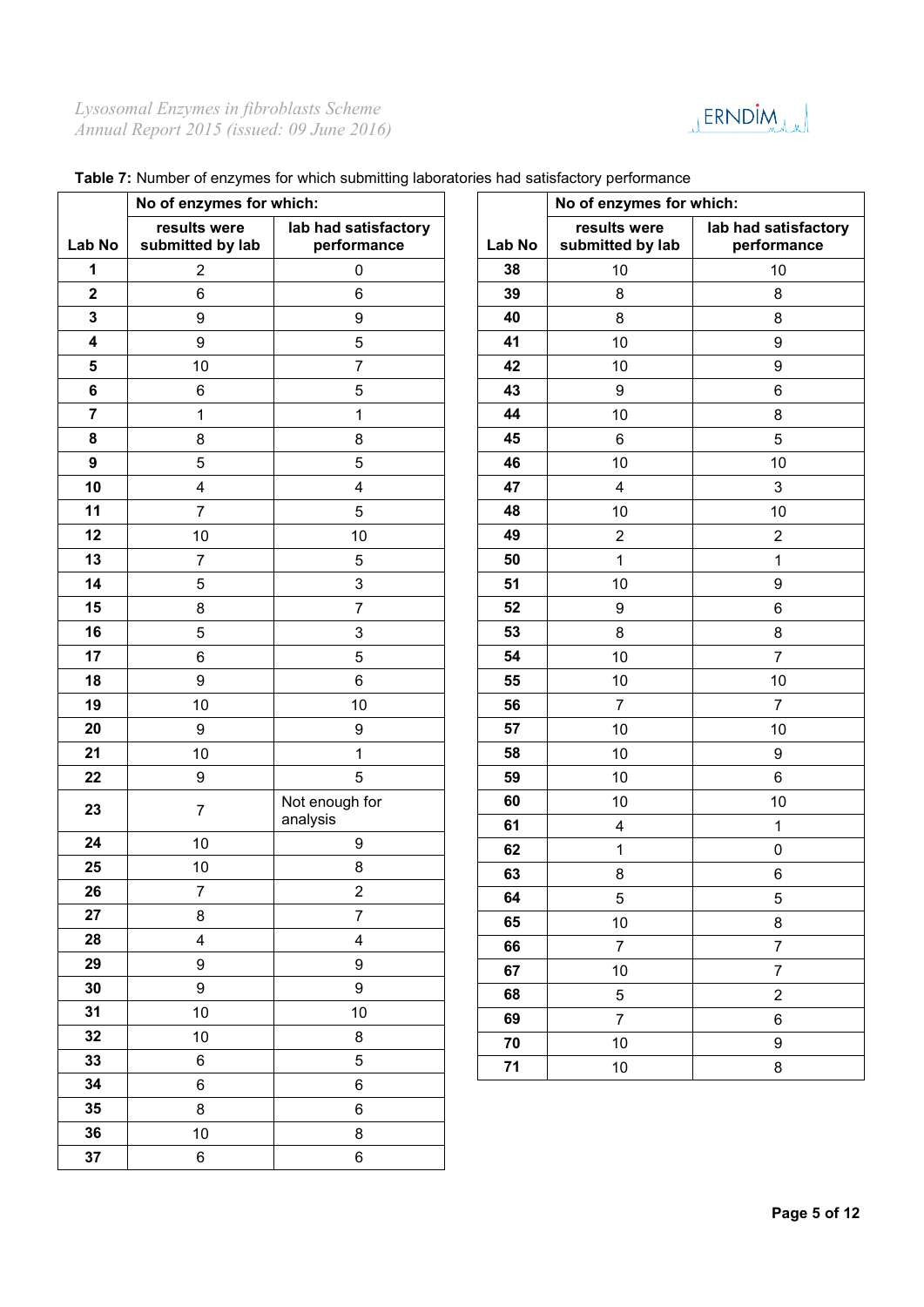

|                  | No of enzymes for which:         |                                     |          | No of enzymes for which:         |                                     |
|------------------|----------------------------------|-------------------------------------|----------|----------------------------------|-------------------------------------|
| Lab No           | results were<br>submitted by lab | lab had satisfactory<br>performance | Lab No   | results were<br>submitted by lab | lab had satisfactory<br>performance |
| 1                | $\overline{2}$                   | 0                                   | 38       | 10                               | 10                                  |
| $\mathbf 2$      | 6                                | 6                                   | 39       | $\, 8$                           | 8                                   |
| $\mathbf 3$      | $\boldsymbol{9}$                 | 9                                   | 40       | $\bf 8$                          | $\bf 8$                             |
| 4                | $\boldsymbol{9}$                 | 5                                   | 41       | 10                               | $\boldsymbol{9}$                    |
| ${\bf 5}$        | 10                               | $\overline{7}$                      | 42       | 10                               | $\boldsymbol{9}$                    |
| 6                | 6                                | 5                                   | 43       | $\boldsymbol{9}$                 | $\,6$                               |
| $\overline{7}$   | 1                                | 1                                   | 44       | 10                               | $\bf 8$                             |
| 8                | 8                                | 8                                   | 45       | $\,6\,$                          | $\overline{5}$                      |
| $\boldsymbol{9}$ | 5                                | 5                                   | 46       | 10                               | 10                                  |
| 10               | $\overline{\mathbf{4}}$          | 4                                   | 47       | $\overline{\mathbf{4}}$          | $\mathbf{3}$                        |
| 11               | $\overline{7}$                   | 5                                   | 48       | 10                               | 10                                  |
| 12               | 10                               | 10                                  | 49       | $\sqrt{2}$                       | $\mathbf 2$                         |
| 13               | $\overline{7}$                   | 5                                   | 50       | 1                                | 1                                   |
| 14               | 5                                | 3                                   | 51       | 10                               | $\boldsymbol{9}$                    |
| 15               | $\bf8$                           | $\overline{7}$                      | 52       | $\boldsymbol{9}$                 | $\,6\,$                             |
| 16               | 5                                | 3                                   | 53       | $\,8\,$                          | $\bf 8$                             |
| 17               | 6                                | 5                                   | 54       | 10                               | $\overline{7}$                      |
| 18               | 9                                | 6                                   | 55       | 10                               | 10                                  |
| 19               | 10                               | 10                                  | 56       | $\overline{7}$                   | $\overline{7}$                      |
| 20               | $\boldsymbol{9}$                 | 9                                   | 57       | 10                               | 10                                  |
| 21               | $10$                             | $\mathbf 1$                         | 58       | 10                               | $\boldsymbol{9}$                    |
| 22               | $\boldsymbol{9}$                 | 5                                   | 59       | 10                               | $\,6$                               |
| 23               | $\overline{7}$                   | Not enough for<br>analysis          | 60<br>61 | 10<br>$\overline{\mathbf{4}}$    | 10<br>1                             |
| 24               | $10$                             | 9                                   | 62       | 1                                | $\pmb{0}$                           |
| 25               | 10                               | 8                                   | 63       | $\bf 8$                          | $\,6$                               |
| 26               | $\overline{7}$                   | $\overline{\mathbf{c}}$             | 64       | $\sqrt{5}$                       | $\,$ 5 $\,$                         |
| 27               | 8                                | $\overline{7}$                      | 65       | 10                               | $\bf 8$                             |
| 28               | $\overline{\mathbf{4}}$          | $\overline{4}$                      | 66       | $\overline{7}$                   | $\overline{7}$                      |
| 29               | 9                                | $9\,$                               | 67       | 10                               | $\overline{7}$                      |
| 30               | 9                                | $\boldsymbol{9}$                    | 68       | $\overline{5}$                   | $\overline{2}$                      |
| 31               | 10                               | 10                                  | 69       | $\overline{7}$                   | $\,6\,$                             |
| 32               | 10                               | 8                                   | 70       | 10                               | $\boldsymbol{9}$                    |
| 33               | $\,6\,$                          | 5                                   | 71       | 10                               | $\bf 8$                             |
| 34               | 6                                | 6                                   |          |                                  |                                     |
| 35               | 8                                | 6                                   |          |                                  |                                     |
| 36               | $10\,$                           | $\bf 8$                             |          |                                  |                                     |
| 37               | $\,6\,$                          | 6                                   |          |                                  |                                     |

## **Table 7:** Number of enzymes for which submitting laboratories had satisfactory performance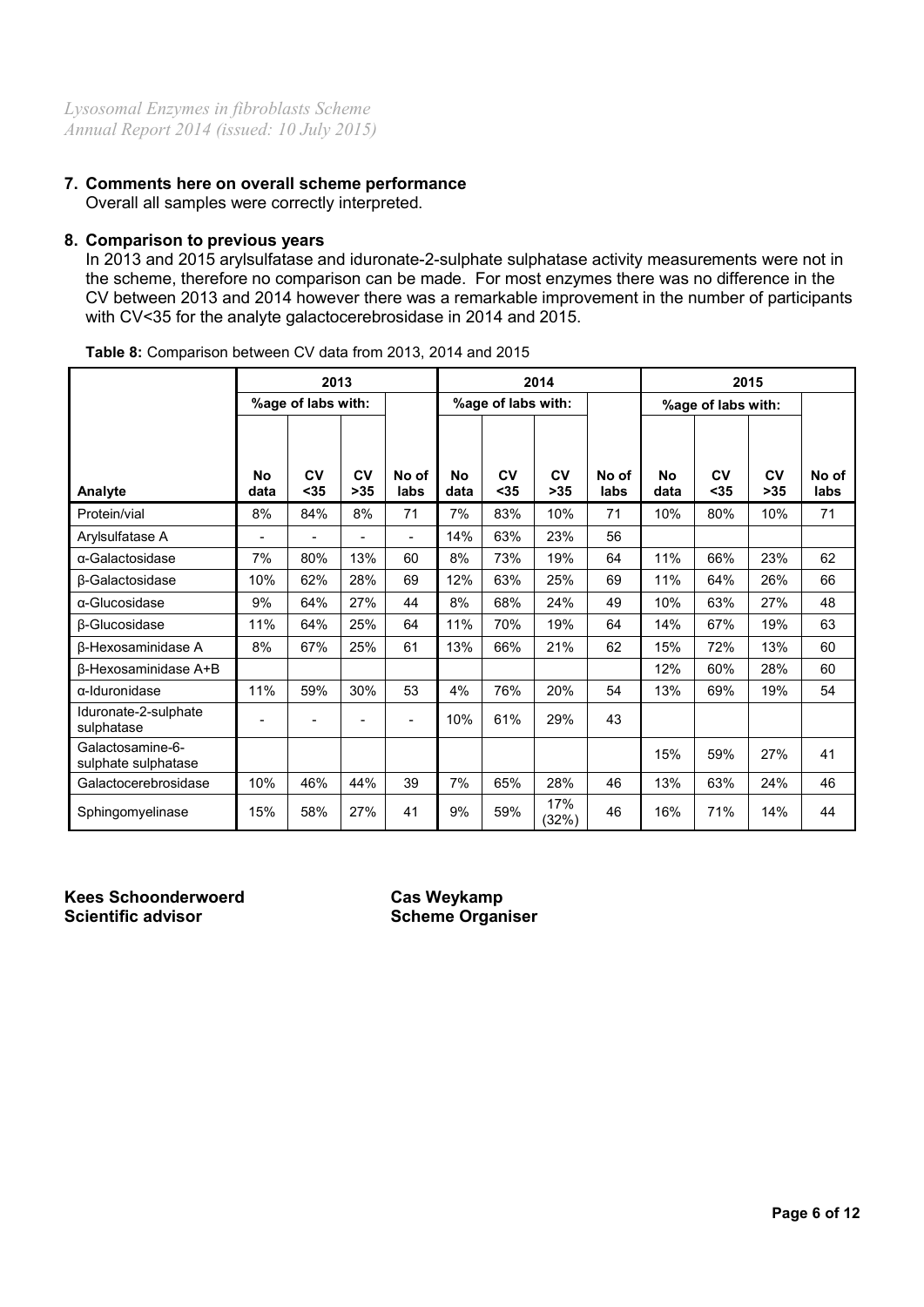## **7. Comments here on overall scheme performance** Overall all samples were correctly interpreted.

## **8. Comparison to previous years**

In 2013 and 2015 arylsulfatase and iduronate-2-sulphate sulphatase activity measurements were not in the scheme, therefore no comparison can be made. For most enzymes there was no difference in the CV between 2013 and 2014 however there was a remarkable improvement in the number of participants with CV<35 for the analyte galactocerebrosidase in 2014 and 2015.

|                                         |                          | 2013               |             |               |            |                    | 2014         |               | 2015               |            |             |               |
|-----------------------------------------|--------------------------|--------------------|-------------|---------------|------------|--------------------|--------------|---------------|--------------------|------------|-------------|---------------|
|                                         |                          | %age of labs with: |             |               |            | %age of labs with: |              |               | %age of labs with: |            |             |               |
| Analyte                                 | No<br>data               | CV<br>$<35$        | CV<br>$>35$ | No of<br>labs | No<br>data | CV<br>$35$         | CV<br>$>35$  | No of<br>labs | Nο<br>data         | CV<br>$35$ | CV<br>$>35$ | No of<br>labs |
| Protein/vial                            | 8%                       | 84%                | 8%          | 71            | 7%         | 83%                | 10%          | 71            | 10%                | 80%        | 10%         | 71            |
| Arylsulfatase A                         | $\overline{\phantom{0}}$ |                    |             | ۰             | 14%        | 63%                | 23%          | 56            |                    |            |             |               |
| $\alpha$ -Galactosidase                 | 7%                       | 80%                | 13%         | 60            | 8%         | 73%                | 19%          | 64            | 11%                | 66%        | 23%         | 62            |
| <b>B-Galactosidase</b>                  | 10%                      | 62%                | 28%         | 69            | 12%        | 63%                | 25%          | 69            | 11%                | 64%        | 26%         | 66            |
| α-Glucosidase                           | 9%                       | 64%                | 27%         | 44            | 8%         | 68%                | 24%          | 49            | 10%                | 63%        | 27%         | 48            |
| β-Glucosidase                           | 11%                      | 64%                | 25%         | 64            | 11%        | 70%                | 19%          | 64            | 14%                | 67%        | 19%         | 63            |
| β-Hexosaminidase A                      | 8%                       | 67%                | 25%         | 61            | 13%        | 66%                | 21%          | 62            | 15%                | 72%        | 13%         | 60            |
| <b>B-Hexosaminidase A+B</b>             |                          |                    |             |               |            |                    |              |               | 12%                | 60%        | 28%         | 60            |
| $\alpha$ -Iduronidase                   | 11%                      | 59%                | 30%         | 53            | 4%         | 76%                | 20%          | 54            | 13%                | 69%        | 19%         | 54            |
| Iduronate-2-sulphate<br>sulphatase      |                          |                    |             | ۰             | 10%        | 61%                | 29%          | 43            |                    |            |             |               |
| Galactosamine-6-<br>sulphate sulphatase |                          |                    |             |               |            |                    |              |               | 15%                | 59%        | 27%         | 41            |
| Galactocerebrosidase                    | 10%                      | 46%                | 44%         | 39            | 7%         | 65%                | 28%          | 46            | 13%                | 63%        | 24%         | 46            |
| Sphingomyelinase                        | 15%                      | 58%                | 27%         | 41            | 9%         | 59%                | 17%<br>(32%) | 46            | 16%                | 71%        | 14%         | 44            |

**Table 8:** Comparison between CV data from 2013, 2014 and 2015

**Kees Schoonderwoerd Cas Weykamp**

**Scheme Organiser**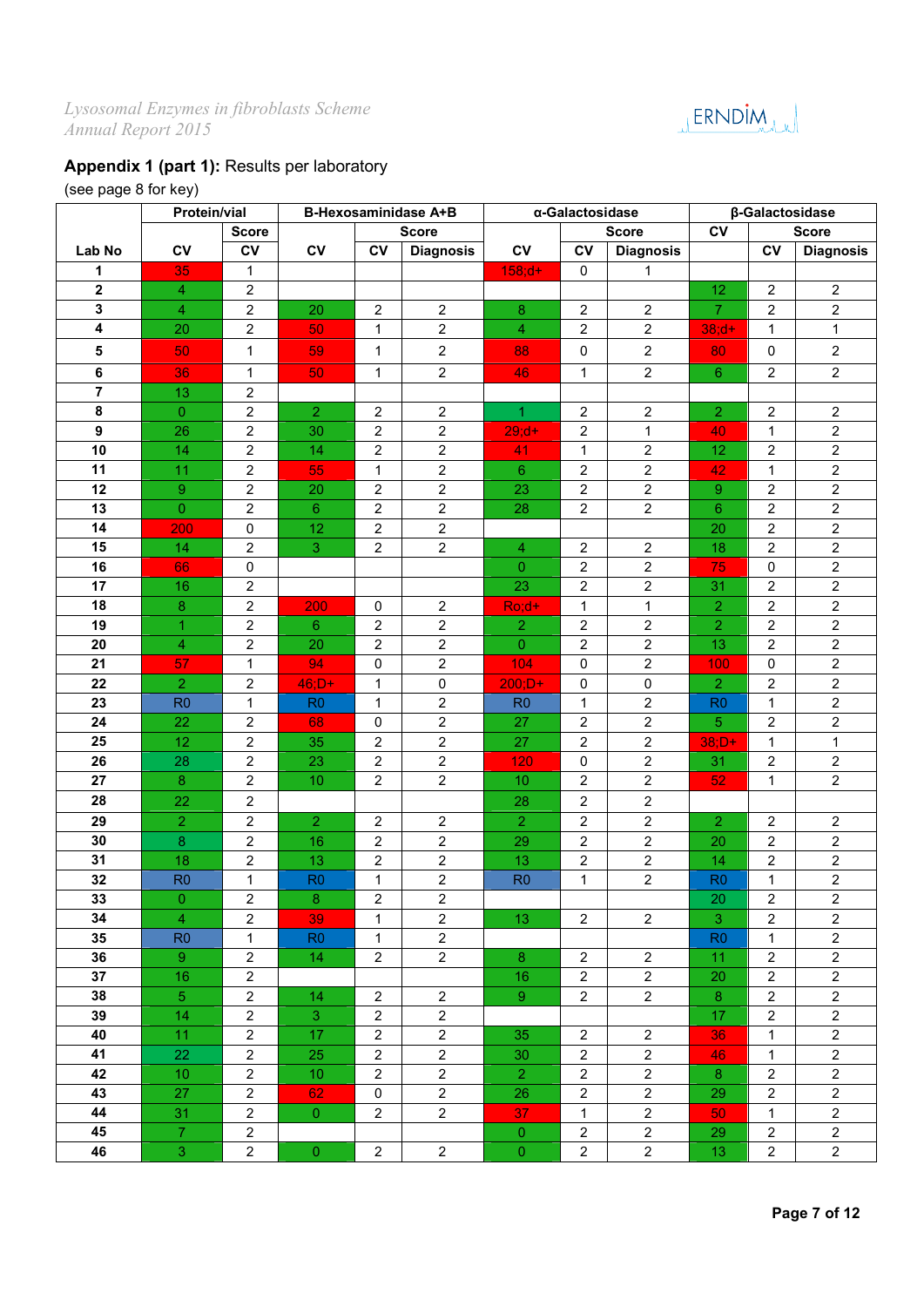JERNDIM

# **Appendix 1 (part 1):** Results per laboratory

# (see page 8 for key)

|                  | Protein/vial    |                  |                 |                         | <b>B-Hexosaminidase A+B</b> |                 | α-Galactosidase | β-Galactosidase         |                |                |                         |
|------------------|-----------------|------------------|-----------------|-------------------------|-----------------------------|-----------------|-----------------|-------------------------|----------------|----------------|-------------------------|
|                  |                 | <b>Score</b>     |                 |                         | <b>Score</b>                |                 |                 | <b>Score</b>            | c <sub>V</sub> |                | <b>Score</b>            |
| Lab No           | <b>CV</b>       | CV               | <b>CV</b>       | <b>CV</b>               | <b>Diagnosis</b>            | CV              | $c_{V}$         | <b>Diagnosis</b>        |                | c <sub>V</sub> | <b>Diagnosis</b>        |
| 1                | 35              | $\mathbf{1}$     |                 |                         |                             | $158; d+$       | 0               | 1                       |                |                |                         |
| $\mathbf{2}$     | $\overline{4}$  | $\overline{2}$   |                 |                         |                             |                 |                 |                         | 12             | $\overline{2}$ | $\overline{2}$          |
| 3                | $\overline{4}$  | $\overline{2}$   | 20              | $\overline{2}$          | $\overline{2}$              | 8               | $\overline{2}$  | $\overline{2}$          | $\mathbf{7}$   | $\overline{2}$ | $\overline{2}$          |
| 4                | 20              | 2                | 50              | $\mathbf{1}$            | $\overline{2}$              | $\overline{4}$  | $\overline{c}$  | $\overline{c}$          | $38; d+$       | $\mathbf{1}$   | $\mathbf{1}$            |
| 5                | 50              | $\mathbf{1}$     | 59              | $\mathbf{1}$            | $\overline{2}$              | 88              | $\pmb{0}$       | $\overline{c}$          | 80             | $\mathbf 0$    | $\overline{2}$          |
| $\bf 6$          | 36              | $\mathbf{1}$     | 50              | 1                       | $\overline{2}$              | 46              | 1               | $\overline{c}$          | $6^{\circ}$    | $\overline{2}$ | $\overline{2}$          |
| $\overline{7}$   | 13              | $\overline{2}$   |                 |                         |                             |                 |                 |                         |                |                |                         |
| 8                | $\overline{0}$  | $\overline{c}$   | $\overline{2}$  | $\overline{2}$          | $\overline{2}$              | $\mathbf{1}$    | 2               | $\overline{c}$          | $\overline{2}$ | $\overline{2}$ | $\overline{\mathbf{c}}$ |
| $\boldsymbol{9}$ | 26              | $\overline{2}$   | 30              | $\overline{2}$          | $\overline{2}$              | $29; d+$        | $\overline{2}$  | 1                       | 40             | $\mathbf{1}$   | $\overline{2}$          |
| 10               | 14              | $\overline{2}$   | 14              | $\overline{2}$          | $\overline{2}$              | 41              | $\mathbf{1}$    | $\overline{2}$          | 12             | $\overline{2}$ | $\overline{2}$          |
| 11               | 11              | $\overline{2}$   | 55              | $\mathbf{1}$            | $\overline{2}$              | $6^{\circ}$     | $\overline{c}$  | $\overline{2}$          | 42             | $\mathbf{1}$   | $\overline{2}$          |
| 12               | 9               | $\boldsymbol{2}$ | 20              | $\boldsymbol{2}$        | $\overline{2}$              | 23              | $\sqrt{2}$      | $\overline{2}$          | 9              | $\overline{2}$ | $\overline{2}$          |
| 13               | $\overline{0}$  | $\overline{2}$   | $6\phantom{1}$  | $\overline{2}$          | $\overline{2}$              | 28              | $\overline{c}$  | $\overline{c}$          | $6\phantom{1}$ | $\overline{2}$ | $\overline{2}$          |
| 14               | 200             | $\mathsf 0$      | 12              | $\overline{2}$          | $\overline{2}$              |                 |                 |                         | 20             | $\overline{2}$ | $\overline{2}$          |
| 15               | 14              | $\overline{2}$   | 3               | $\overline{2}$          | $\overline{2}$              | 4               | $\overline{2}$  | $\overline{2}$          | 18             | $\overline{2}$ | $\overline{2}$          |
| 16               | 66              | $\pmb{0}$        |                 |                         |                             | $\overline{0}$  | $\sqrt{2}$      | $\overline{c}$          | 75             | $\mathbf 0$    | $\overline{2}$          |
| 17               | 16              | $\overline{c}$   |                 |                         |                             | 23              | $\sqrt{2}$      | 2                       | 31             | 2              | $\overline{c}$          |
| 18               | 8               | $\overline{2}$   | 200             | 0                       | $\overline{2}$              | $Ro; d+$        | 1               | 1                       | $\overline{2}$ | $\overline{2}$ | $\overline{c}$          |
| 19               | 1               | $\overline{2}$   | $6^{\circ}$     | $\overline{2}$          | $\overline{2}$              | $\overline{2}$  | $\overline{2}$  | $\overline{2}$          | $\overline{2}$ | $\overline{2}$ | $\overline{2}$          |
| 20               | $\overline{4}$  | $\overline{2}$   | 20              | $\overline{2}$          | $\overline{2}$              | $\overline{0}$  | $\overline{2}$  | $\overline{2}$          | 13             | $\overline{2}$ | $\overline{2}$          |
| 21               | 57              | 1                | 94              | 0                       | $\overline{2}$              | 104             | $\mathbf 0$     | $\overline{2}$          | 100            | $\mathbf{0}$   | $\overline{2}$          |
| 22               | $\overline{2}$  | $\overline{2}$   | $46;D+$         | $\mathbf{1}$            | $\mathbf 0$                 | $200;D+$        | $\pmb{0}$       | $\mathbf 0$             | $\overline{2}$ | 2              | $\overline{2}$          |
| 23               | R <sub>0</sub>  | $\mathbf{1}$     | R <sub>0</sub>  | $\mathbf{1}$            | $\overline{2}$              | R <sub>0</sub>  | $\mathbf{1}$    | $\overline{\mathbf{c}}$ | R <sub>0</sub> | $\mathbf{1}$   | $\overline{2}$          |
| 24               | 22              | $\overline{2}$   | 68              | 0                       | $\overline{2}$              | 27              | $\overline{2}$  | $\overline{c}$          | 5              | $\overline{2}$ | $\overline{2}$          |
| 25               | 12              | $\overline{2}$   | 35              | $\overline{2}$          | $\overline{2}$              | 27              | $\overline{2}$  | $\overline{2}$          | $38;D+$        | $\mathbf{1}$   | $\mathbf{1}$            |
| 26               | 28              | $\overline{2}$   | 23              | $\overline{2}$          | $\overline{2}$              | 120             | $\pmb{0}$       | $\overline{2}$          | 31             | $\overline{2}$ | $\overline{2}$          |
| 27               | 8               | $\boldsymbol{2}$ | 10              | $\overline{2}$          | $\overline{2}$              | 10              | $\sqrt{2}$      | $\overline{c}$          | 52             | $\mathbf{1}$   | $\overline{2}$          |
| 28               | 22              | $\overline{2}$   |                 |                         |                             | 28              | $\overline{2}$  | $\overline{2}$          |                |                |                         |
| 29               | $\overline{2}$  | $\overline{2}$   | $\overline{2}$  | $\overline{2}$          | $\overline{2}$              | $\overline{2}$  | $\overline{2}$  | $\overline{c}$          | $\overline{2}$ | $\overline{2}$ | $\overline{2}$          |
| 30               | 8               | $\boldsymbol{2}$ | 16              | $\overline{2}$          | $\overline{2}$              | 29              | $\overline{c}$  | $\overline{\mathbf{c}}$ | 20             | $\overline{2}$ | $\overline{2}$          |
| 31               | 18              | $\overline{2}$   | 13              | $\overline{2}$          | $\overline{2}$              | 13              | $\overline{c}$  | $\overline{c}$          | 14             | $\overline{2}$ | $\overline{2}$          |
| 32               | R <sub>0</sub>  | $\mathbf{1}$     | R <sub>0</sub>  | $\mathbf{1}$            | $\overline{2}$              | R <sub>0</sub>  | $\mathbf{1}$    | $\overline{c}$          | R <sub>0</sub> | $\mathbf{1}$   | $\overline{2}$          |
| 33               | $\mathbf 0$     | $\mathbf 2$      | $\bf 8$         | $\overline{\mathbf{c}}$ | $\overline{2}$              |                 |                 |                         | 20             | $\overline{c}$ | $\overline{2}$          |
| 34               | $\overline{4}$  | $\overline{2}$   | 39              | $\mathbf{1}$            | $\overline{2}$              | 13 <sup>°</sup> | $\overline{2}$  | $\overline{2}$          | 3              | $\overline{2}$ | $\overline{c}$          |
| 35               | R <sub>0</sub>  | $\mathbf{1}$     | R <sub>0</sub>  | $\mathbf{1}$            | $\overline{2}$              |                 |                 |                         | R <sub>0</sub> | $\mathbf{1}$   | $\overline{2}$          |
| 36               | 9 <sup>°</sup>  | $\overline{2}$   | 14 <sup>°</sup> | $\overline{2}$          | $\overline{2}$              | 8               | $\overline{2}$  | $\overline{2}$          | 11             | $\overline{2}$ | $\overline{2}$          |
| 37               | 16              | $\overline{2}$   |                 |                         |                             | 16              | $\overline{2}$  | $\overline{2}$          | 20             | $\overline{2}$ | $\overline{2}$          |
| 38               | 5 <sup>1</sup>  | $\mathbf{2}$     | 14              | $\overline{2}$          | $\overline{2}$              | $\overline{9}$  | $\overline{2}$  | $\overline{a}$          | 8              | $\overline{2}$ | $\overline{2}$          |
| 39               | 14              | $\overline{2}$   | 3 <sup>°</sup>  | $\overline{2}$          | $\overline{2}$              |                 |                 |                         | 17             | $\overline{2}$ | $\overline{2}$          |
| 40               | 11              | $\overline{2}$   | 17              | $\overline{2}$          | $\overline{2}$              | 35              | $\overline{2}$  | $\overline{2}$          | 36             | $\mathbf{1}$   | $\overline{2}$          |
| 41               | 22              | $\overline{2}$   | 25              | $\overline{2}$          | $2^{\circ}$                 | 30              | $\overline{2}$  | $\overline{2}$          | 46             | $\mathbf{1}$   | $\overline{2}$          |
| 42               | 10 <sup>°</sup> | $\overline{2}$   | 10 <sup>°</sup> | $2^{\circ}$             | $\overline{2}$              | 2 <sup>1</sup>  | $\overline{2}$  | $\overline{2}$          | 8              | $\overline{2}$ | $\overline{2}$          |
| 43               | 27              | $\overline{2}$   | 62              | 0                       | $\overline{2}$              | 26              | $\overline{2}$  | $\overline{2}$          | 29             | $\overline{2}$ | $\overline{2}$          |
| 44               | 31              | $\overline{2}$   | $\overline{0}$  | $\overline{2}$          | $\overline{2}$              | 37              | $\mathbf{1}$    | $\overline{c}$          | 50             | $\mathbf{1}$   | $\overline{2}$          |
| 45               | $\mathbf{7}$    | $\overline{2}$   |                 |                         |                             | $\overline{0}$  | $\overline{2}$  | $\overline{c}$          | 29             | $\overline{2}$ | $\overline{2}$          |
| 46               | 3 <sup>1</sup>  | $\overline{2}$   | $\overline{0}$  | $\overline{2}$          | $\overline{2}$              | $\overline{0}$  | $\overline{2}$  | $\overline{a}$          | 13             | $\overline{2}$ | $\overline{c}$          |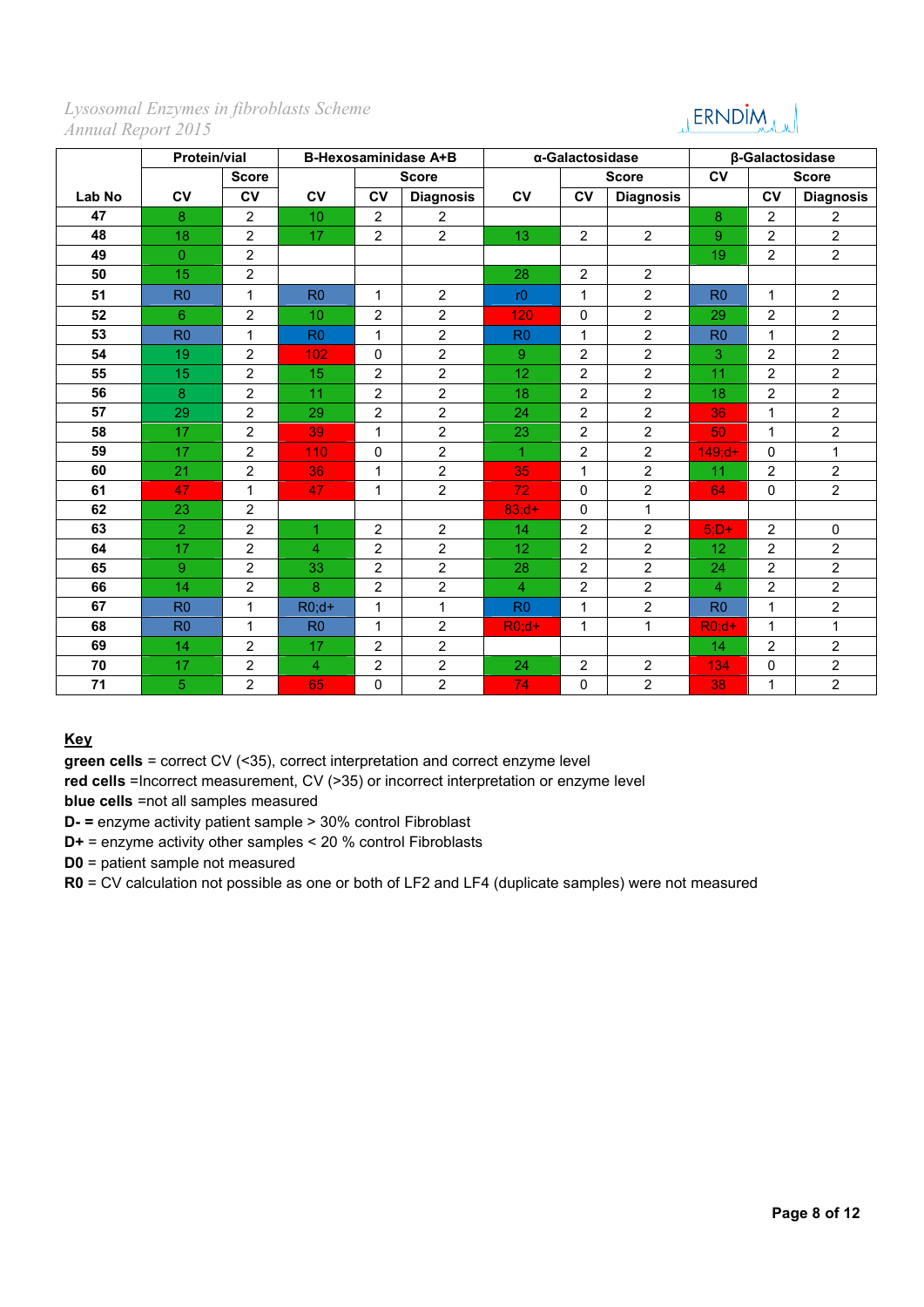# JERNDIM<sub>MAM</sub>

|        | <b>Protein/vial</b> |                | <b>B-Hexosaminidase A+B</b> |                |                  |                | α-Galactosidase |                  | β-Galactosidase |                |                  |  |
|--------|---------------------|----------------|-----------------------------|----------------|------------------|----------------|-----------------|------------------|-----------------|----------------|------------------|--|
|        |                     | <b>Score</b>   |                             |                | <b>Score</b>     |                |                 | <b>Score</b>     | <b>CV</b>       |                | <b>Score</b>     |  |
| Lab No | c <sub>V</sub>      | <b>CV</b>      | CV                          | <b>CV</b>      | <b>Diagnosis</b> | <b>CV</b>      | <b>CV</b>       | <b>Diagnosis</b> |                 | <b>CV</b>      | <b>Diagnosis</b> |  |
| 47     | 8                   | $\overline{2}$ | 10                          | 2              | $\overline{2}$   |                |                 |                  | 8               | $\overline{2}$ | $\overline{2}$   |  |
| 48     | 18                  | $\overline{2}$ | 17                          | $\overline{2}$ | $\overline{2}$   | 13             | $\overline{2}$  | $\overline{2}$   | 9               | $\overline{2}$ | $\overline{2}$   |  |
| 49     | $\overline{0}$      | $\overline{2}$ |                             |                |                  |                |                 |                  | 19              | $\overline{2}$ | $\overline{2}$   |  |
| 50     | 15                  | $\overline{2}$ |                             |                |                  | 28             | $\overline{2}$  | 2                |                 |                |                  |  |
| 51     | R <sub>0</sub>      | $\mathbf{1}$   | R <sub>0</sub>              | 1              | $\overline{2}$   | r <sub>0</sub> | $\mathbf{1}$    | $\overline{2}$   | R <sub>0</sub>  | $\mathbf{1}$   | $\overline{2}$   |  |
| 52     | 6                   | $\overline{2}$ | 10                          | $\overline{2}$ | $\overline{2}$   | 120            | $\mathbf 0$     | $\overline{2}$   | 29              | $\overline{2}$ | $\overline{2}$   |  |
| 53     | R <sub>0</sub>      | $\mathbf{1}$   | R <sub>0</sub>              | $\mathbf{1}$   | $\overline{2}$   | R <sub>0</sub> | $\mathbf{1}$    | $\overline{2}$   | R <sub>0</sub>  | $\mathbf{1}$   | $\overline{2}$   |  |
| 54     | 19                  | $\overline{2}$ | 102                         | $\mathbf 0$    | $\overline{2}$   | $\overline{9}$ | 2               | $\overline{2}$   | 3               | $\overline{2}$ | $\overline{2}$   |  |
| 55     | 15                  | $\overline{2}$ | 15                          | $\overline{2}$ | $\overline{2}$   | 12             | $\overline{2}$  | $\overline{2}$   | 11              | $\overline{2}$ | $\overline{c}$   |  |
| 56     | 8                   | $\overline{2}$ | 11                          | $\overline{2}$ | $\overline{2}$   | 18             | $\overline{2}$  | $\overline{2}$   | 18              | $\overline{2}$ | $\overline{2}$   |  |
| 57     | 29                  | $\overline{2}$ | 29                          | $\overline{2}$ | $\overline{2}$   | 24             | $\overline{2}$  | 2                | 36              | $\mathbf{1}$   | $\overline{2}$   |  |
| 58     | 17                  | $\overline{2}$ | 39                          | $\mathbf{1}$   | $\overline{2}$   | 23             | $\overline{2}$  | $\overline{2}$   | 50              | $\mathbf{1}$   | $\overline{2}$   |  |
| 59     | 17                  | $\overline{2}$ | 110                         | $\Omega$       | $\overline{2}$   | 1.             | $\overline{2}$  | $\overline{2}$   | $149; d+$       | $\Omega$       | 1                |  |
| 60     | 21                  | $\overline{2}$ | 36                          | 1              | $\overline{2}$   | 35             | $\mathbf 1$     | $\overline{2}$   | 11              | $\overline{2}$ | $\overline{2}$   |  |
| 61     | 47                  | $\mathbf{1}$   | 47                          | 1              | $\overline{2}$   | 72             | $\mathbf{0}$    | $\overline{2}$   | 64              | $\Omega$       | $\overline{2}$   |  |
| 62     | 23                  | $\overline{2}$ |                             |                |                  | $83: d+$       | 0               | $\mathbf{1}$     |                 |                |                  |  |
| 63     | $\overline{2}$      | $\overline{2}$ | 1                           | $\overline{2}$ | $\overline{2}$   | 14             | $\overline{2}$  | $\overline{2}$   | $5;D+$          | $\overline{2}$ | $\mathbf 0$      |  |
| 64     | 17                  | $\overline{2}$ | $\overline{4}$              | $\overline{2}$ | $\overline{2}$   | 12             | $\overline{2}$  | $\overline{2}$   | 12              | $\overline{2}$ | $\overline{2}$   |  |
| 65     | 9                   | $\overline{2}$ | 33                          | $\overline{2}$ | $\overline{2}$   | 28             | 2               | $\overline{2}$   | 24              | $\overline{2}$ | $\overline{2}$   |  |
| 66     | 14                  | $\overline{2}$ | 8                           | $\overline{2}$ | $\overline{2}$   | $\overline{4}$ | $\overline{2}$  | $\overline{2}$   | 4               | $\overline{2}$ | $\overline{2}$   |  |
| 67     | R <sub>0</sub>      | $\mathbf{1}$   | $R0;d+$                     | 1              | $\mathbf{1}$     | R <sub>0</sub> | 1               | $\overline{2}$   | R <sub>0</sub>  | $\mathbf{1}$   | $\overline{2}$   |  |
| 68     | R <sub>0</sub>      | $\mathbf{1}$   | RO                          | $\mathbf{1}$   | $\overline{2}$   | $R0;d+$        | $\mathbf{1}$    | $\mathbf{1}$     | $R0;d+$         | $\mathbf{1}$   | 1                |  |
| 69     | 14                  | $\overline{2}$ | 17                          | $\overline{2}$ | $\overline{2}$   |                |                 |                  | 14              | $\overline{2}$ | $\overline{2}$   |  |
| 70     | 17                  | $\overline{2}$ | $\overline{4}$              | $\overline{2}$ | $\overline{2}$   | 24             | $\overline{c}$  | $\overline{2}$   | 134             | $\mathbf 0$    | $\overline{2}$   |  |
| 71     | 5                   | $\overline{2}$ | 65                          | $\Omega$       | $\overline{2}$   | 74             | $\mathbf 0$     | $\overline{2}$   | 38              | $\mathbf{1}$   | $\overline{2}$   |  |

## **Key**

**green cells** = correct CV (<35), correct interpretation and correct enzyme level

**red cells** =Incorrect measurement, CV (>35) or incorrect interpretation or enzyme level

**blue cells** =not all samples measured

**D- =** enzyme activity patient sample > 30% control Fibroblast

**D+** = enzyme activity other samples < 20 % control Fibroblasts

**D0** = patient sample not measured

**R0** = CV calculation not possible as one or both of LF2 and LF4 (duplicate samples) were not measured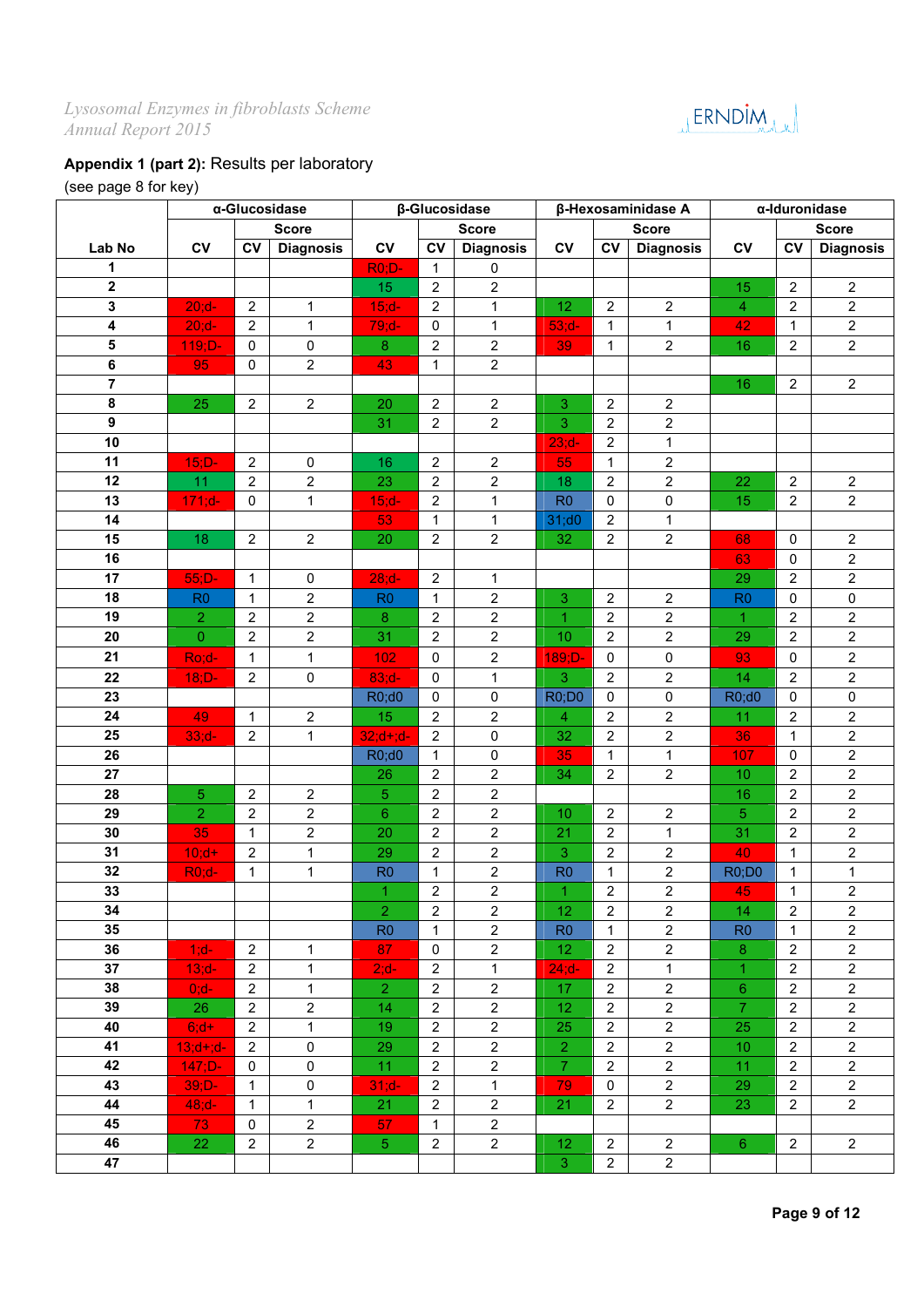# JERNDIM

## **Appendix 1 (part 2):** Results per laboratory

## (see page 8 for key)

|                  |                 |                | α-Glucosidase    |                 |                     | β-Glucosidase           |                 |                         | β-Hexosaminidase A      |                | α-Iduronidase  |                         |
|------------------|-----------------|----------------|------------------|-----------------|---------------------|-------------------------|-----------------|-------------------------|-------------------------|----------------|----------------|-------------------------|
|                  |                 |                | <b>Score</b>     |                 |                     | <b>Score</b>            |                 |                         | <b>Score</b>            |                |                | <b>Score</b>            |
| Lab No           | <b>CV</b>       | <b>CV</b>      | <b>Diagnosis</b> | CV              | CV                  | <b>Diagnosis</b>        | CV              | CV                      | <b>Diagnosis</b>        | CV             | CV             | <b>Diagnosis</b>        |
| 1                |                 |                |                  | <b>R0;D-</b>    | 1                   | 0                       |                 |                         |                         |                |                |                         |
| $\mathbf 2$      |                 |                |                  | 15              | $\overline{2}$      | $\overline{c}$          |                 |                         |                         | 15             | $\overline{2}$ | $\sqrt{2}$              |
| 3                | $20; d -$       | $\overline{2}$ | $\mathbf{1}$     | $15; d -$       | $\overline{2}$      | 1                       | 12              | $\overline{2}$          | $\overline{2}$          | $\overline{4}$ | $\overline{2}$ | $\sqrt{2}$              |
| 4                | $20; d -$       | $\overline{2}$ | $\mathbf{1}$     | $79; d-$        | 0                   | $\mathbf{1}$            | $53; d-$        | 1                       | $\mathbf{1}$            | 42             | $\mathbf{1}$   | $\overline{2}$          |
| 5                | $119;D-$        | $\mathbf 0$    | $\mathbf 0$      | $\bf 8$         | $\overline{2}$      | 2                       | 39              | $\mathbf{1}$            | $\overline{2}$          | 16             | $\overline{2}$ | $\overline{2}$          |
| 6                | 95              | $\mathbf 0$    | $\overline{2}$   | 43              | $\mathbf{1}$        | $\overline{c}$          |                 |                         |                         |                |                |                         |
| $\overline{7}$   |                 |                |                  |                 |                     |                         |                 |                         |                         | 16             | $\overline{2}$ | $\overline{2}$          |
| 8                | 25              | 2              | $\overline{2}$   | 20              | $\overline{c}$      | $\overline{2}$          | 3               | $\overline{2}$          | $\overline{2}$          |                |                |                         |
| $\boldsymbol{9}$ |                 |                |                  | 31              | $\overline{2}$      | $\overline{2}$          | 3               | $\overline{2}$          | $\overline{2}$          |                |                |                         |
| 10               |                 |                |                  |                 |                     |                         | $23; d -$       | $\overline{c}$          | $\mathbf{1}$            |                |                |                         |
| 11               | $15;D-$         | $\overline{2}$ | 0                | 16              | $\overline{2}$      | $\overline{c}$          | 55              | 1                       | $\overline{2}$          |                |                |                         |
| 12               | 11              | $\overline{2}$ | $\boldsymbol{2}$ | 23              | $\overline{c}$      | $\overline{\mathbf{c}}$ | 18              | $\sqrt{2}$              | $\overline{2}$          | 22             | $\overline{2}$ | $\overline{c}$          |
| 13               | $171; d -$      | 0              | $\mathbf{1}$     | $15; d -$       | $\overline{2}$      | $\mathbf{1}$            | R <sub>0</sub>  | 0                       | 0                       | 15             | $\overline{2}$ | $\overline{2}$          |
| 14               |                 |                |                  | 53              | 1                   | 1                       | 31;00           | $\overline{2}$          | $\mathbf{1}$            |                |                |                         |
| 15               | 18              | $\sqrt{2}$     | $\overline{2}$   | 20              | $\overline{2}$      | $\overline{2}$          | 32              | $\overline{2}$          | $\overline{2}$          | 68             | $\mathbf 0$    | $\overline{2}$          |
| 16               |                 |                |                  |                 |                     |                         |                 |                         |                         | 63             | $\mathbf 0$    | $\overline{2}$          |
| 17               | $55;D-$         | $\mathbf{1}$   | $\pmb{0}$        | $28; d -$       | $\overline{2}$      | $\mathbf{1}$            |                 |                         |                         | 29             | $\overline{2}$ | $\overline{2}$          |
| 18               | R <sub>0</sub>  | $\mathbf{1}$   | $\overline{2}$   | R <sub>0</sub>  | $\mathbf{1}$        | $\overline{c}$          | 3               | $\overline{2}$          | $\overline{2}$          | R <sub>0</sub> | $\mathbf 0$    | 0                       |
| 19               | $\overline{2}$  | $\overline{2}$ | $\sqrt{2}$       | 8               | $\overline{c}$      | $\overline{2}$          | $\overline{1}$  | $\overline{2}$          | $\overline{2}$          | 1              | $\overline{2}$ | $\sqrt{2}$              |
| 20               | $\mathbf 0$     | $\overline{2}$ | $\overline{2}$   | 31              | $\overline{2}$      | $\overline{2}$          | 10              | $\overline{2}$          | $\overline{2}$          | 29             | $\overline{2}$ | $\overline{2}$          |
| 21               | Ro;d-           | $\mathbf{1}$   | $\mathbf{1}$     | 102             | $\mathsf{O}\xspace$ | $\overline{c}$          | 189;D-          | $\mathbf 0$             | $\mathsf 0$             | 93             | $\pmb{0}$      | $\sqrt{2}$              |
| 22               | $18;D-$         | 2              | $\pmb{0}$        | $83; d -$       | 0                   | 1                       | 3               | 2                       | $\overline{2}$          | 14             | $\overline{2}$ | $\overline{2}$          |
| 23               |                 |                |                  | R0;d0           | 0                   | $\mathbf 0$             | <b>R0;D0</b>    | 0                       | 0                       | R0;d0          | 0              | 0                       |
| 24               | 49              | $\mathbf{1}$   | $\overline{2}$   | 15              | $\overline{2}$      | $\overline{2}$          | 4               | $\overline{2}$          | $\overline{2}$          | 11             | $\overline{2}$ | $\sqrt{2}$              |
| 25               | $33; d -$       | 2              | $\mathbf{1}$     | $32; d + ; d -$ | $\overline{2}$      | 0                       | 32              | $\overline{2}$          | $\overline{2}$          | 36             | $\mathbf{1}$   | $\overline{2}$          |
| 26               |                 |                |                  | R0;d0           | $\mathbf{1}$        | 0                       | 35              | $\mathbf{1}$            | $\mathbf{1}$            | 107            | $\mathbf 0$    | $\overline{2}$          |
| 27               |                 |                |                  | 26              | $\overline{2}$      | $\overline{2}$          | 34              | $\overline{2}$          | $\overline{2}$          | 10             | $\overline{2}$ | $\sqrt{2}$              |
| 28               | 5               | $\overline{2}$ | $\sqrt{2}$       | 5               | $\overline{2}$      | $\overline{2}$          |                 |                         |                         | 16             | $\overline{2}$ | $\sqrt{2}$              |
| 29               | $\overline{2}$  | $\overline{2}$ | $\overline{2}$   | $6\phantom{1}$  | $\overline{2}$      | $\overline{2}$          | 10              | $\overline{2}$          | $\overline{2}$          | 5              | $\overline{2}$ | $\overline{2}$          |
| 30               | 35              | $\mathbf{1}$   | $\overline{2}$   | 20              | $\overline{2}$      | $\overline{2}$          | 21              | $\overline{c}$          | $\mathbf{1}$            | 31             | $\overline{c}$ | $\overline{2}$          |
| 31               | $10; d+$        | $\overline{2}$ | $\mathbf{1}$     | 29              | $\boldsymbol{2}$    | $\overline{c}$          | 3               | $\sqrt{2}$              | $\overline{c}$          | 40             | $\mathbf{1}$   | $\sqrt{2}$              |
| 32               | $R0;d-$         | 1              | $\mathbf{1}$     | R <sub>0</sub>  | $\mathbf 1$         | $\overline{c}$          | R <sub>0</sub>  | 1                       | $\overline{c}$          | <b>R0;D0</b>   | 1              | 1                       |
| 33               |                 |                |                  | $\overline{1}$  | $\overline{c}$      | $\overline{\mathbf{c}}$ | $\mathbf{1}$    | $\overline{\mathbf{c}}$ | $\overline{\mathbf{c}}$ | 45             | 1              | $\overline{\mathbf{c}}$ |
| 34               |                 |                |                  | $\overline{2}$  | $\overline{c}$      | $\overline{2}$          | 12              | $\overline{2}$          | $\overline{2}$          | 14             | $\overline{2}$ | $\overline{2}$          |
| 35               |                 |                |                  | R <sub>0</sub>  | $\mathbf{1}$        | $\overline{2}$          | R <sub>0</sub>  | 1                       | $\overline{2}$          | R <sub>0</sub> | 1              | $\overline{2}$          |
| 36               | $1; d-$         | $\overline{2}$ | $\mathbf{1}$     | 87              | $\mathbf 0$         | $\overline{2}$          | 12 <sub>2</sub> | $\overline{2}$          | $\overline{2}$          | 8              | $\overline{2}$ | $\overline{2}$          |
| 37               | $13; d -$       | $\overline{2}$ | $\mathbf{1}$     | $2; d-$         | $\overline{2}$      | $\mathbf{1}$            | $24; d-$        | $\overline{2}$          | $\mathbf 1$             | $\mathbf{1}$   | $\overline{2}$ | $\overline{2}$          |
| 38               | $0; d-$         | $\overline{2}$ | $\mathbf{1}$     | $\overline{2}$  | $\overline{2}$      | $\overline{2}$          | 17              | $\overline{2}$          | $\overline{2}$          | $6^{\circ}$    | $\overline{2}$ | $\overline{2}$          |
| 39               | 26              | $\overline{2}$ | $\overline{2}$   | 14              | $\overline{2}$      | $\overline{2}$          | 12 <sub>2</sub> | $\overline{2}$          | $\overline{2}$          | $\overline{7}$ | $\overline{2}$ | $\overline{2}$          |
| 40               | $6; d+$         | $\overline{2}$ | $\mathbf{1}$     | 19              | $\overline{2}$      | $\overline{2}$          | 25              | $\overline{2}$          | $\overline{2}$          | 25             | $\overline{2}$ | $\overline{2}$          |
| 41               | $13; d + ; d -$ | 2              | $\mathbf 0$      | 29              | $\overline{2}$      | $\overline{2}$          | $\overline{2}$  | $\overline{2}$          | $\overline{2}$          | 10             | $\overline{2}$ | 2                       |
| 42               | $147;D-$        | 0              | $\mathbf 0$      | 11              | $\overline{2}$      | $\overline{2}$          | $\overline{7}$  | $\overline{2}$          | $\overline{2}$          | 11             | $\overline{2}$ | $\overline{2}$          |
| 43               | $39;D-$         | $\mathbf{1}$   | $\mathbf 0$      | $31: d -$       | $\overline{2}$      | $\mathbf{1}$            | 79              | $\mathbf{0}$            | $\overline{2}$          | 29             | $\overline{2}$ | $\overline{2}$          |
| 44               | $48; d -$       | 1              | $\mathbf{1}$     | 21              | $\overline{2}$      | $\overline{2}$          | 21              | $\overline{2}$          | $\mathbf{2}$            | 23             | $\overline{2}$ | $\overline{c}$          |
| 45               | 73              | 0              | $\overline{2}$   | 57              | $\mathbf{1}$        | $\overline{2}$          |                 |                         |                         |                |                |                         |
| 46               | 22              | $\overline{2}$ | $\overline{2}$   | 5 <sub>1</sub>  | $\overline{2}$      | $\overline{2}$          | 12 <sub>2</sub> | $\overline{2}$          | $\overline{2}$          | $6^{\circ}$    | $\overline{2}$ | $\overline{2}$          |
| 47               |                 |                |                  |                 |                     |                         | 3               | $\overline{2}$          | $\overline{2}$          |                |                |                         |
|                  |                 |                |                  |                 |                     |                         |                 |                         |                         |                |                |                         |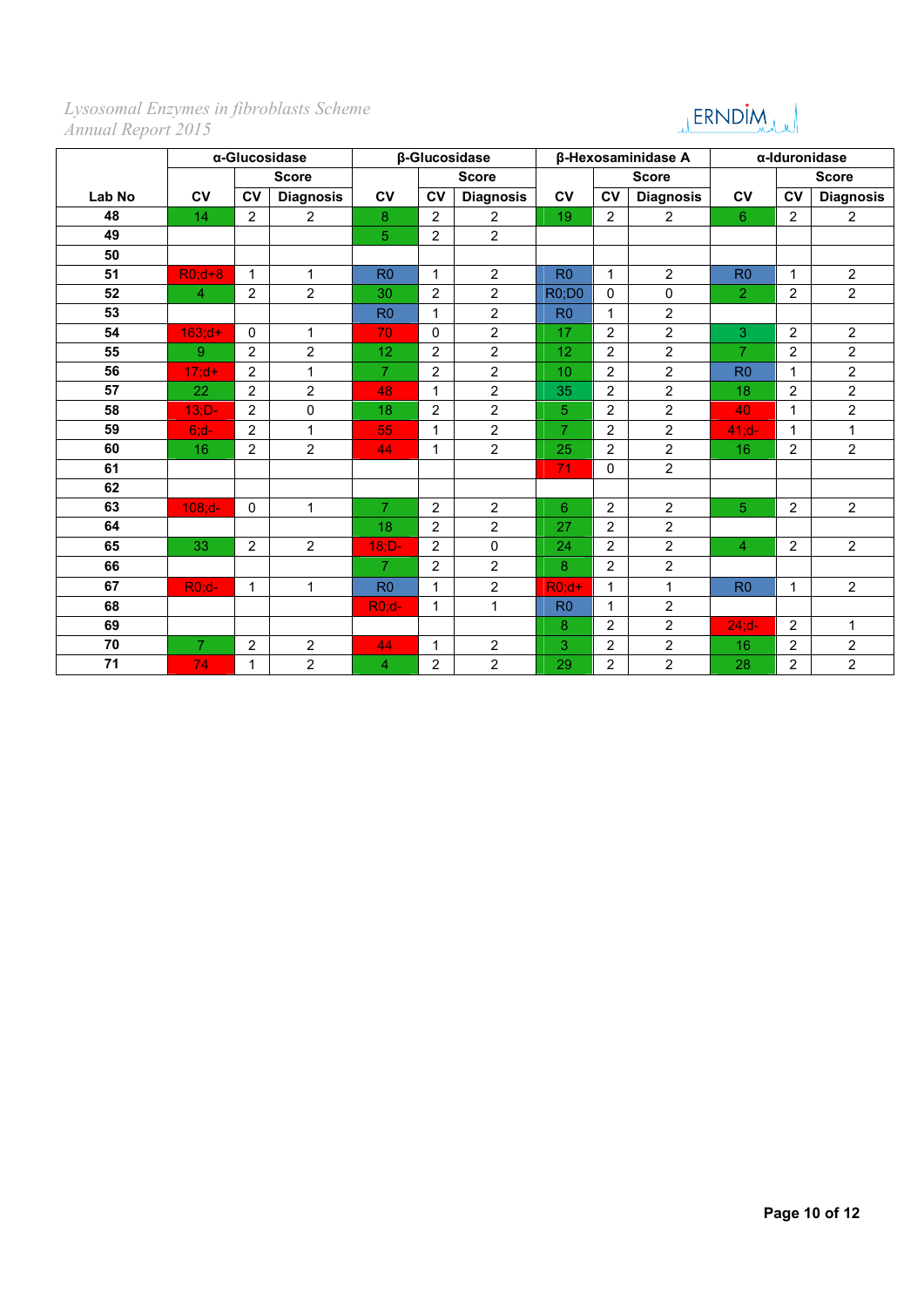# JERNDIM

|        |                |                | α-Glucosidase    | β-Glucosidase  |                |                  |                |                | β-Hexosaminidase A | α-Iduronidase  |                |                  |
|--------|----------------|----------------|------------------|----------------|----------------|------------------|----------------|----------------|--------------------|----------------|----------------|------------------|
|        |                |                | <b>Score</b>     |                |                | <b>Score</b>     |                |                | <b>Score</b>       |                |                | <b>Score</b>     |
| Lab No | <b>CV</b>      | <b>CV</b>      | <b>Diagnosis</b> | <b>CV</b>      | <b>CV</b>      | <b>Diagnosis</b> | <b>CV</b>      | <b>CV</b>      | <b>Diagnosis</b>   | CV             | <b>CV</b>      | <b>Diagnosis</b> |
| 48     | 14             | 2              | $\overline{2}$   | 8              | 2              | $\overline{2}$   | 19             | 2              | $\overline{2}$     | 6              | $\overline{2}$ | $\overline{2}$   |
| 49     |                |                |                  | 5              | $\overline{2}$ | $\overline{2}$   |                |                |                    |                |                |                  |
| 50     |                |                |                  |                |                |                  |                |                |                    |                |                |                  |
| 51     | $R0; d+8$      | $\mathbf{1}$   | $\mathbf{1}$     | R <sub>0</sub> | $\mathbf{1}$   | $\overline{2}$   | R <sub>0</sub> | $\mathbf{1}$   | $\overline{2}$     | R <sub>0</sub> | $\mathbf{1}$   | $\overline{2}$   |
| 52     | $\overline{4}$ | $\overline{2}$ | $\overline{2}$   | 30             | $\overline{2}$ | $\overline{2}$   | <b>R0;D0</b>   | $\mathbf{0}$   | $\mathbf 0$        | $\overline{2}$ | $\overline{2}$ | $\overline{2}$   |
| 53     |                |                |                  | R <sub>0</sub> | $\mathbf{1}$   | $\overline{2}$   | R <sub>0</sub> | $\mathbf{1}$   | $\overline{2}$     |                |                |                  |
| 54     | $163; d+$      | $\mathbf{0}$   | $\mathbf{1}$     | 70             | $\Omega$       | $\overline{2}$   | 17             | 2              | $\overline{2}$     | 3              | $\overline{2}$ | $\overline{2}$   |
| 55     | 9 <sup>°</sup> | 2              | $\overline{2}$   | 12             | 2              | $\overline{2}$   | 12             | 2              | $\overline{2}$     | $\overline{7}$ | $\overline{2}$ | $\overline{2}$   |
| 56     | $17; d+$       | 2              | $\mathbf{1}$     | $\overline{7}$ | $\overline{2}$ | $\overline{2}$   | 10             | $\overline{2}$ | $\overline{2}$     | R <sub>0</sub> | $\mathbf{1}$   | $\overline{2}$   |
| 57     | 22             | $\overline{2}$ | $\overline{2}$   | 48             | $\mathbf{1}$   | $\overline{2}$   | 35             | 2              | $\overline{2}$     | 18             | $\overline{2}$ | $\overline{2}$   |
| 58     | $13;D-$        | 2              | $\pmb{0}$        | 18             | $\overline{2}$ | $\overline{2}$   | 5              | $\overline{2}$ | $\overline{2}$     | 40             | $\mathbf{1}$   | $\overline{2}$   |
| 59     | $6; d-$        | 2              | $\mathbf{1}$     | 55             | $\mathbf{1}$   | $\overline{2}$   | $\overline{7}$ | 2              | $\overline{2}$     | $41; d-$       | $\mathbf{1}$   | $\mathbf{1}$     |
| 60     | 16             | $\overline{2}$ | $\overline{2}$   | 44             | $\mathbf{1}$   | $\overline{2}$   | 25             | $\overline{2}$ | $\overline{2}$     | 16             | $\overline{2}$ | $\overline{2}$   |
| 61     |                |                |                  |                |                |                  | 71             | $\Omega$       | $\overline{2}$     |                |                |                  |
| 62     |                |                |                  |                |                |                  |                |                |                    |                |                |                  |
| 63     | $108; d -$     | $\mathbf 0$    | $\mathbf{1}$     | $\overline{7}$ | $\overline{2}$ | $\overline{2}$   | 6              | $\overline{2}$ | $\overline{2}$     | 5              | $\overline{2}$ | $\overline{2}$   |
| 64     |                |                |                  | 18             | $\overline{2}$ | $\overline{2}$   | 27             | $\overline{2}$ | $\overline{2}$     |                |                |                  |
| 65     | 33             | 2              | $\overline{2}$   | $18;D-$        | $\overline{2}$ | $\mathbf 0$      | 24             | 2              | $\overline{2}$     | 4              | $\overline{2}$ | $\overline{2}$   |
| 66     |                |                |                  | $\overline{7}$ | $\overline{2}$ | $\overline{2}$   | 8              | 2              | $\overline{2}$     |                |                |                  |
| 67     | $R0;d-$        | $\mathbf{1}$   | $\mathbf{1}$     | R <sub>0</sub> | 1              | $\overline{2}$   | $R0:d+$        | 1              | $\mathbf{1}$       | RO             | $\mathbf{1}$   | $\overline{2}$   |
| 68     |                |                |                  | $R0;d-$        | 1              | $\mathbf{1}$     | R <sub>0</sub> | $\mathbf{1}$   | $\overline{2}$     |                |                |                  |
| 69     |                |                |                  |                |                |                  | 8              | $\overline{2}$ | $\overline{2}$     | $24; d -$      | $\overline{2}$ | $\mathbf{1}$     |
| 70     | $\overline{7}$ | 2              | $\overline{2}$   | 44             | $\mathbf{1}$   | $\overline{2}$   | 3              | 2              | $\overline{2}$     | 16             | $\overline{2}$ | $\overline{2}$   |
| 71     | 74             | 1              | $\overline{2}$   | 4              | $\overline{2}$ | $\overline{2}$   | 29             | $\overline{c}$ | $\overline{2}$     | 28             | $\overline{c}$ | $\overline{2}$   |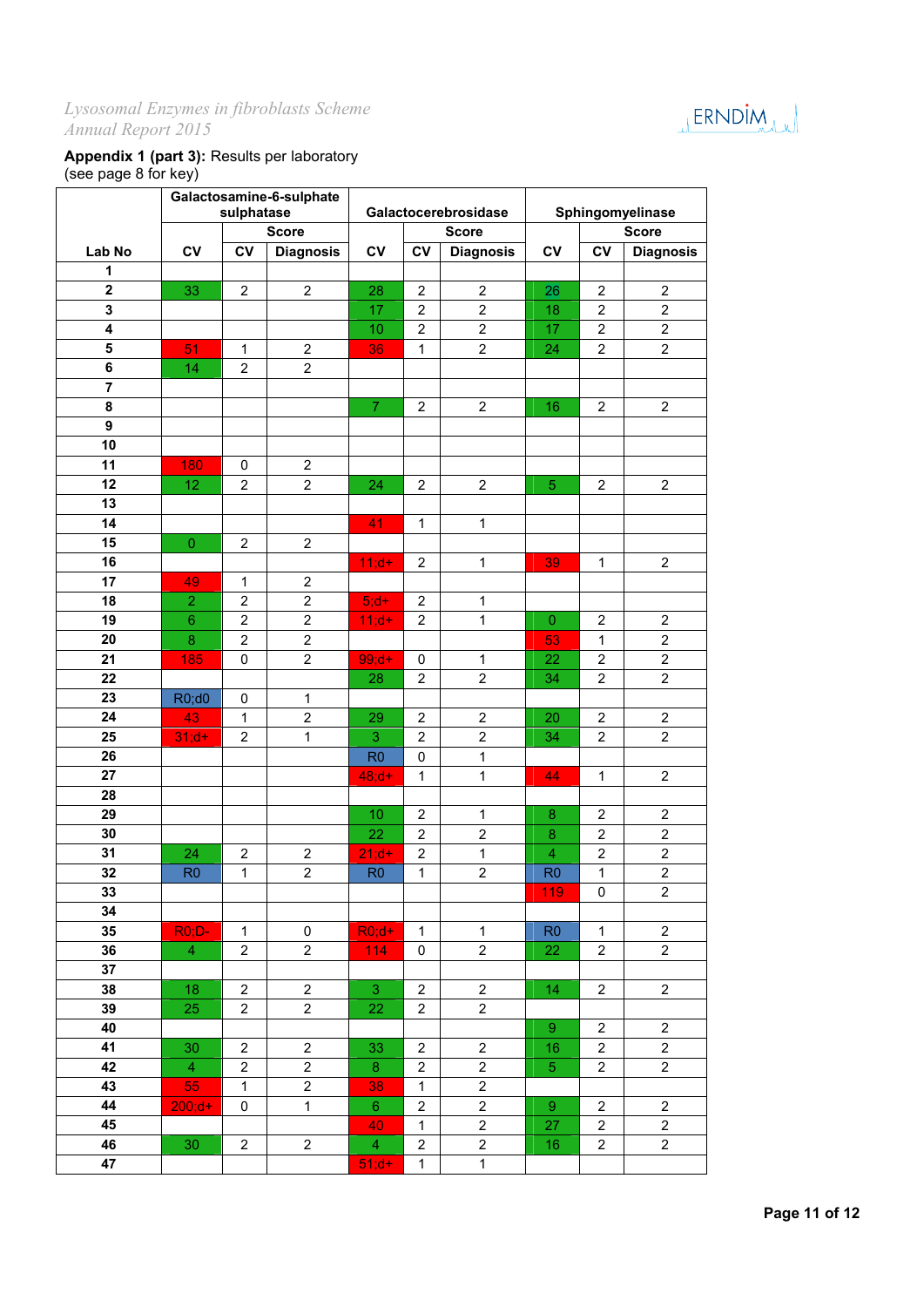

## **Appendix 1 (part 3):** Results per laboratory (see page 8 for key)

|                              | Galactosamine-6-sulphate<br>sulphatase |                                  |                                    |                      |                     |                                  |                        |                                |                                  |
|------------------------------|----------------------------------------|----------------------------------|------------------------------------|----------------------|---------------------|----------------------------------|------------------------|--------------------------------|----------------------------------|
|                              |                                        |                                  |                                    | Galactocerebrosidase |                     |                                  | Sphingomyelinase       |                                |                                  |
|                              |                                        |                                  | <b>Score</b>                       |                      |                     | <b>Score</b>                     |                        |                                | <b>Score</b>                     |
| Lab No                       | $c_{V}$                                | <b>CV</b>                        | <b>Diagnosis</b>                   | CV                   | <b>CV</b>           | <b>Diagnosis</b>                 | <b>CV</b>              | $c_{V}$                        | <b>Diagnosis</b>                 |
| 1<br>$\overline{\mathbf{2}}$ |                                        |                                  |                                    |                      |                     |                                  |                        |                                |                                  |
| 3                            | 33                                     | $\overline{2}$                   | $\overline{2}$                     | 28<br>17             | $\overline{2}$      | $\overline{2}$<br>$\overline{c}$ | 26                     | $\overline{2}$                 | $\overline{2}$                   |
| 4                            |                                        |                                  |                                    |                      | $\overline{2}$      |                                  | 18                     | $\boldsymbol{2}$               | $\overline{c}$                   |
| 5                            | 51                                     |                                  |                                    | 10                   | $\overline{c}$      | $\overline{c}$<br>$\overline{2}$ | 17                     | $\boldsymbol{2}$               | $\overline{c}$                   |
| 6                            | 14                                     | 1<br>$\overline{2}$              | $\overline{c}$<br>$\boldsymbol{2}$ | 36                   | 1                   |                                  | 24                     | $\overline{2}$                 | $\overline{c}$                   |
| $\overline{7}$               |                                        |                                  |                                    |                      |                     |                                  |                        |                                |                                  |
| 8                            |                                        |                                  |                                    | $\boldsymbol{7}$     | $\overline{2}$      | $\overline{2}$                   | 16                     | $\overline{c}$                 | $\overline{2}$                   |
| $\boldsymbol{9}$             |                                        |                                  |                                    |                      |                     |                                  |                        |                                |                                  |
| 10                           |                                        |                                  |                                    |                      |                     |                                  |                        |                                |                                  |
| 11                           | 180                                    | 0                                | $\overline{2}$                     |                      |                     |                                  |                        |                                |                                  |
| 12                           | 12                                     | $\overline{2}$                   | $\overline{2}$                     | 24                   | $\overline{2}$      | $\overline{2}$                   | $\overline{5}$         | $\overline{c}$                 | $\overline{2}$                   |
| 13                           |                                        |                                  |                                    |                      |                     |                                  |                        |                                |                                  |
| 14                           |                                        |                                  |                                    | 41                   | $\mathbf{1}$        | $\mathbf 1$                      |                        |                                |                                  |
| 15                           |                                        |                                  |                                    |                      |                     |                                  |                        |                                |                                  |
| 16                           | $\mathbf 0$                            | $\overline{2}$                   | $\boldsymbol{2}$                   |                      | $\overline{c}$      | $\mathbf{1}$                     | 39                     | 1                              |                                  |
| 17                           | 49                                     | 1                                | $\overline{2}$                     | $11; d+$             |                     |                                  |                        |                                | $\overline{\mathbf{c}}$          |
| 18                           |                                        |                                  | $\overline{2}$                     |                      |                     |                                  |                        |                                |                                  |
| 19                           | $\overline{2}$                         | $\overline{2}$<br>$\overline{2}$ | $\overline{2}$                     | $5; d+$              | 2                   | $\mathbf 1$<br>$\mathbf 1$       |                        |                                |                                  |
| 20                           | $6\phantom{1}6$<br>$\bf{8}$            | $\overline{2}$                   | $\overline{2}$                     | $11; d+$             | $\overline{c}$      |                                  | $\boldsymbol{0}$<br>53 | $\overline{2}$<br>$\mathbf{1}$ | $\overline{c}$<br>$\overline{2}$ |
| 21                           |                                        |                                  |                                    |                      |                     |                                  |                        | $\overline{c}$                 |                                  |
| 22                           | 185                                    | 0                                | $\boldsymbol{2}$                   | $99; d+$<br>28       | 0<br>$\overline{2}$ | $\mathbf{1}$<br>$\overline{2}$   | 22                     | $\overline{c}$                 | $\overline{c}$<br>$\overline{c}$ |
| 23                           |                                        | 0                                | $\mathbf{1}$                       |                      |                     |                                  | 34                     |                                |                                  |
| 24                           | R0;d0<br>43                            | $\mathbf{1}$                     | $\overline{2}$                     | 29                   | $\overline{2}$      | $\overline{2}$                   | 20                     | $\overline{c}$                 | $\overline{2}$                   |
| 25                           | $31; d+$                               | $\overline{2}$                   | $\mathbf{1}$                       | 3                    | $\boldsymbol{2}$    | $\overline{2}$                   | 34                     | $\overline{2}$                 | $\overline{c}$                   |
| 26                           |                                        |                                  |                                    | R <sub>0</sub>       | 0                   | $\mathbf{1}$                     |                        |                                |                                  |
| 27                           |                                        |                                  |                                    | $48; d+$             | $\mathbf{1}$        | $\mathbf{1}$                     | 44                     | 1                              | $\overline{\mathbf{c}}$          |
| 28                           |                                        |                                  |                                    |                      |                     |                                  |                        |                                |                                  |
| 29                           |                                        |                                  |                                    | 10                   | $\boldsymbol{2}$    | $\mathbf 1$                      | 8                      | $\boldsymbol{2}$               | $\overline{c}$                   |
| 30                           |                                        |                                  |                                    | 22                   | $\overline{c}$      | $\overline{2}$                   | 8                      | $\overline{2}$                 | $\overline{c}$                   |
| 31                           | 24                                     | $\overline{2}$                   | $\overline{2}$                     | $21; d+$             | $\overline{2}$      | $\mathbf 1$                      | 4                      | $\overline{\mathbf{c}}$        | $\overline{c}$                   |
| 32                           | R <sub>0</sub>                         | 1                                | $\overline{2}$                     | R <sub>0</sub>       | $\mathbf{1}$        | $\overline{c}$                   | R <sub>0</sub>         | $\mathbf{1}$                   | $\overline{2}$                   |
| 33                           |                                        |                                  |                                    |                      |                     |                                  | 119                    | 0                              | 2                                |
| 34                           |                                        |                                  |                                    |                      |                     |                                  |                        |                                |                                  |
| 35                           | $ROiD-$                                | $\mathbf{1}$                     | 0                                  | $RO; d+$             | $\mathbf{1}$        | $\mathbf{1}$                     | R <sub>0</sub>         | $\mathbf{1}$                   | $\overline{2}$                   |
| 36                           | $\overline{4}$                         | $\overline{2}$                   | $\overline{2}$                     | 114                  | 0                   | $\overline{2}$                   | 22                     | 2                              | $\overline{2}$                   |
| 37                           |                                        |                                  |                                    |                      |                     |                                  |                        |                                |                                  |
| 38                           | 18                                     | $\overline{2}$                   | $\overline{2}$                     | 3                    | $\overline{c}$      | $\overline{c}$                   | 14                     | $\overline{2}$                 | $\overline{c}$                   |
| 39                           | 25                                     | $\overline{2}$                   | $\overline{c}$                     | 22                   | 2                   | $\overline{c}$                   |                        |                                |                                  |
| 40                           |                                        |                                  |                                    |                      |                     |                                  | 9                      | 2                              | $\overline{2}$                   |
| 41                           | 30                                     | $\overline{2}$                   | $\overline{c}$                     | 33                   | 2                   | $\boldsymbol{2}$                 | 16                     | 2                              | $\overline{c}$                   |
| 42                           | $\overline{4}$                         | $\overline{2}$                   | $\boldsymbol{2}$                   | 8                    | $\overline{c}$      | $\boldsymbol{2}$                 | 5                      | $\overline{2}$                 | $\overline{c}$                   |
| 43                           | 55                                     | $\mathbf{1}$                     | $\overline{2}$                     | 38                   | $\mathbf{1}$        | $\boldsymbol{2}$                 |                        |                                |                                  |
| 44                           | $200; d+$                              | $\mathbf 0$                      | $\mathbf{1}$                       | 6                    | $\overline{c}$      | $\overline{c}$                   | $\boldsymbol{9}$       | $\overline{c}$                 | $\overline{c}$                   |
| 45                           |                                        |                                  |                                    | 40                   | $\mathbf{1}$        | $\boldsymbol{2}$                 | 27                     | 2                              | 2                                |
| 46                           | 30                                     | $\overline{2}$                   | $\overline{2}$                     | $\overline{4}$       | 2                   | $\boldsymbol{2}$                 | 16                     | 2                              | $\overline{c}$                   |
| 47                           |                                        |                                  |                                    | $51; d+$             | $\mathbf{1}$        | $\mathbf{1}$                     |                        |                                |                                  |